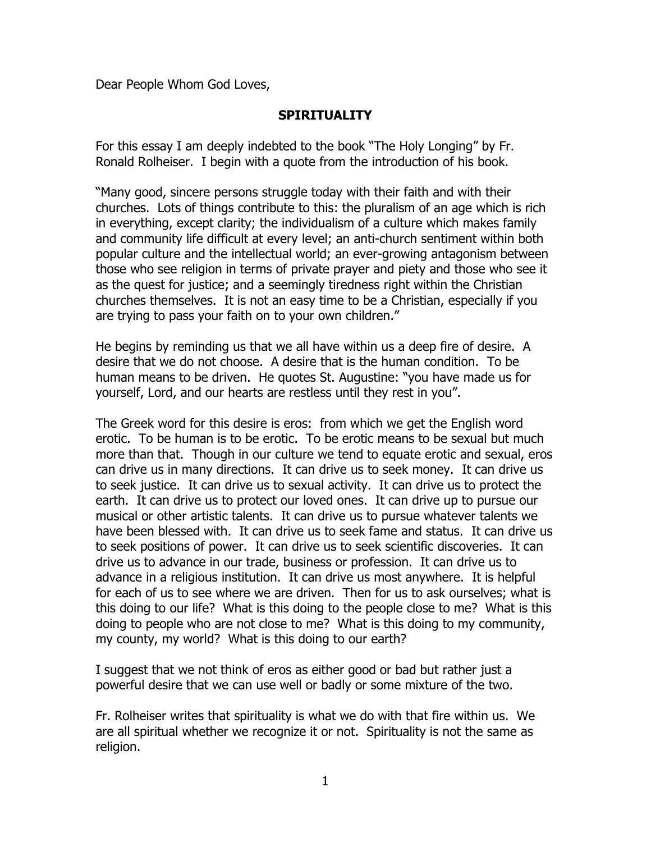Dear People Whom God Loves,

## **SPIRITUALITY**

For this essay I am deeply indebted to the book "The Holy Longing" by Fr. Ronald Rolheiser. I begin with a quote from the introduction of his book.

"Many good, sincere persons struggle today with their faith and with their churches. Lots of things contribute to this: the pluralism of an age which is rich in everything, except clarity; the individualism of a culture which makes family and community life difficult at every level; an anti-church sentiment within both popular culture and the intellectual world; an ever-growing antagonism between those who see religion in terms of private prayer and piety and those who see it as the quest for justice; and a seemingly tiredness right within the Christian churches themselves. It is not an easy time to be a Christian, especially if you are trying to pass your faith on to your own children."

He begins by reminding us that we all have within us a deep fire of desire. A desire that we do not choose. A desire that is the human condition. To be human means to be driven. He quotes St. Augustine: "you have made us for yourself, Lord, and our hearts are restless until they rest in you".

The Greek word for this desire is eros: from which we get the English word erotic. To be human is to be erotic. To be erotic means to be sexual but much more than that. Though in our culture we tend to equate erotic and sexual, eros can drive us in many directions. It can drive us to seek money. It can drive us to seek justice. It can drive us to sexual activity. It can drive us to protect the earth. It can drive us to protect our loved ones. It can drive up to pursue our musical or other artistic talents. It can drive us to pursue whatever talents we have been blessed with. It can drive us to seek fame and status. It can drive us to seek positions of power. It can drive us to seek scientific discoveries. It can drive us to advance in our trade, business or profession. It can drive us to advance in a religious institution. It can drive us most anywhere. It is helpful for each of us to see where we are driven. Then for us to ask ourselves; what is this doing to our life? What is this doing to the people close to me? What is this doing to people who are not close to me? What is this doing to my community, my county, my world? What is this doing to our earth?

I suggest that we not think of eros as either good or bad but rather just a powerful desire that we can use well or badly or some mixture of the two.

Fr. Rolheiser writes that spirituality is what we do with that fire within us. We are all spiritual whether we recognize it or not. Spirituality is not the same as religion.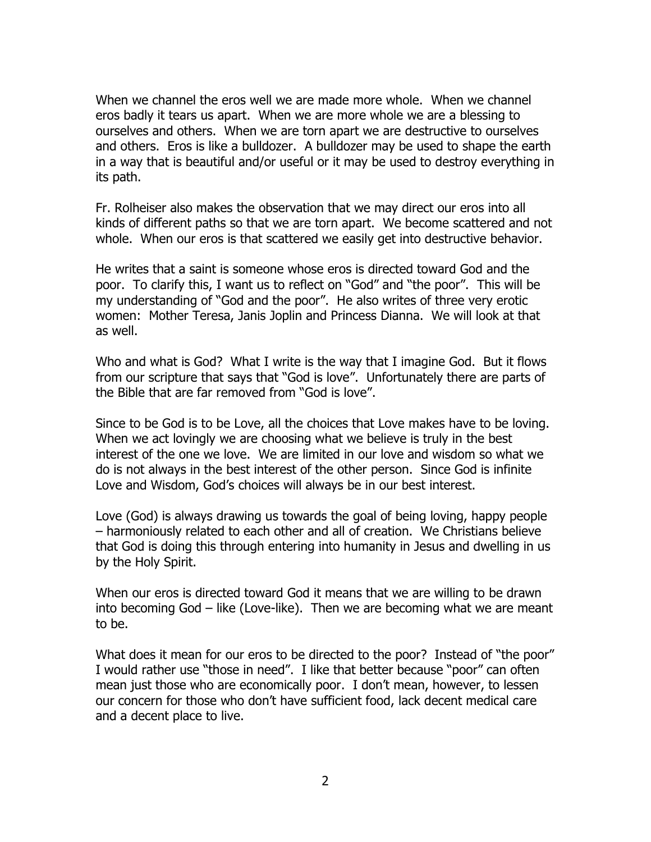When we channel the eros well we are made more whole. When we channel eros badly it tears us apart. When we are more whole we are a blessing to ourselves and others. When we are torn apart we are destructive to ourselves and others. Eros is like a bulldozer. A bulldozer may be used to shape the earth in a way that is beautiful and/or useful or it may be used to destroy everything in its path.

Fr. Rolheiser also makes the observation that we may direct our eros into all kinds of different paths so that we are torn apart. We become scattered and not whole. When our eros is that scattered we easily get into destructive behavior.

He writes that a saint is someone whose eros is directed toward God and the poor. To clarify this, I want us to reflect on "God" and "the poor". This will be my understanding of "God and the poor". He also writes of three very erotic women: Mother Teresa, Janis Joplin and Princess Dianna. We will look at that as well.

Who and what is God? What I write is the way that I imagine God. But it flows from our scripture that says that "God is love". Unfortunately there are parts of the Bible that are far removed from "God is love".

Since to be God is to be Love, all the choices that Love makes have to be loving. When we act lovingly we are choosing what we believe is truly in the best interest of the one we love. We are limited in our love and wisdom so what we do is not always in the best interest of the other person. Since God is infinite Love and Wisdom, God's choices will always be in our best interest.

Love (God) is always drawing us towards the goal of being loving, happy people – harmoniously related to each other and all of creation. We Christians believe that God is doing this through entering into humanity in Jesus and dwelling in us by the Holy Spirit.

When our eros is directed toward God it means that we are willing to be drawn into becoming God – like (Love-like). Then we are becoming what we are meant to be.

What does it mean for our eros to be directed to the poor? Instead of "the poor" I would rather use "those in need". I like that better because "poor" can often mean just those who are economically poor. I don't mean, however, to lessen our concern for those who don't have sufficient food, lack decent medical care and a decent place to live.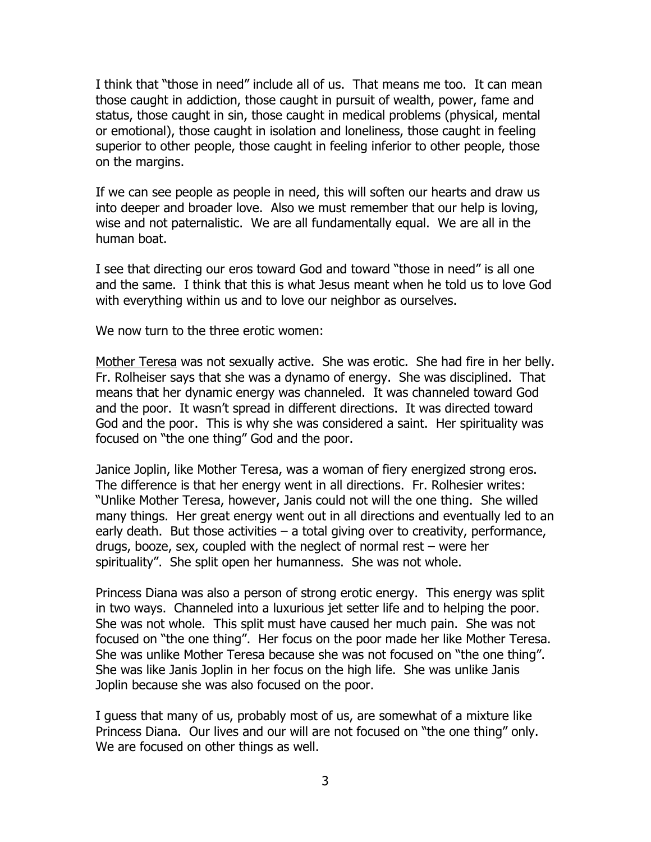I think that "those in need" include all of us. That means me too. It can mean those caught in addiction, those caught in pursuit of wealth, power, fame and status, those caught in sin, those caught in medical problems (physical, mental or emotional), those caught in isolation and loneliness, those caught in feeling superior to other people, those caught in feeling inferior to other people, those on the margins.

If we can see people as people in need, this will soften our hearts and draw us into deeper and broader love. Also we must remember that our help is loving, wise and not paternalistic. We are all fundamentally equal. We are all in the human boat.

I see that directing our eros toward God and toward "those in need" is all one and the same. I think that this is what Jesus meant when he told us to love God with everything within us and to love our neighbor as ourselves.

We now turn to the three erotic women:

Mother Teresa was not sexually active. She was erotic. She had fire in her belly. Fr. Rolheiser says that she was a dynamo of energy. She was disciplined. That means that her dynamic energy was channeled. It was channeled toward God and the poor. It wasn't spread in different directions. It was directed toward God and the poor. This is why she was considered a saint. Her spirituality was focused on "the one thing" God and the poor.

Janice Joplin, like Mother Teresa, was a woman of fiery energized strong eros. The difference is that her energy went in all directions. Fr. Rolhesier writes: "Unlike Mother Teresa, however, Janis could not will the one thing. She willed many things. Her great energy went out in all directions and eventually led to an early death. But those activities – a total giving over to creativity, performance, drugs, booze, sex, coupled with the neglect of normal rest – were her spirituality". She split open her humanness. She was not whole.

Princess Diana was also a person of strong erotic energy. This energy was split in two ways. Channeled into a luxurious jet setter life and to helping the poor. She was not whole. This split must have caused her much pain. She was not focused on "the one thing". Her focus on the poor made her like Mother Teresa. She was unlike Mother Teresa because she was not focused on "the one thing". She was like Janis Joplin in her focus on the high life. She was unlike Janis Joplin because she was also focused on the poor.

I guess that many of us, probably most of us, are somewhat of a mixture like Princess Diana. Our lives and our will are not focused on "the one thing" only. We are focused on other things as well.